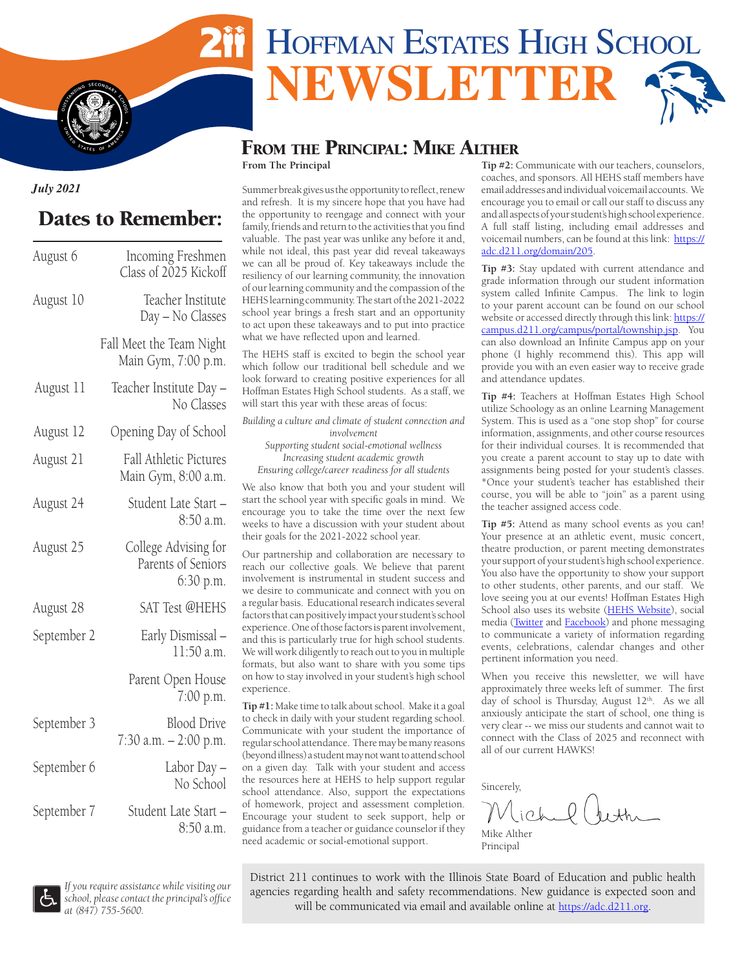# HOFFMAN ESTATES HIGH SCHOOL **NEWSLETT**

#### From the Principal: Mike Alther **From The Principal**

*July 2021*

**I**  $\frac{1}{2}$ 

# Dates to Remember:

**S** 

**S TATES** OF AMERICAL

| August 6    | Incoming Freshmen<br>Class of 2025 Kickoff              |
|-------------|---------------------------------------------------------|
| August 10   | Teacher Institute<br>Day - No Classes                   |
|             | Fall Meet the Team Night<br>Main Gym, 7:00 p.m.         |
| August 11   | Teacher Institute Day -<br>No Classes                   |
| August 12   | Opening Day of School                                   |
| August 21   | <b>Fall Athletic Pictures</b><br>Main Gym, 8:00 a.m.    |
| August 24   | Student Late Start -<br>8:50 a.m.                       |
| August 25   | College Advising for<br>Parents of Seniors<br>6:30 p.m. |
| August 28   | SAT Test @HEHS                                          |
| September 2 | Early Dismissal -<br>11:50 a.m.                         |
|             | Parent Open House<br>7:00 p.m.                          |
| September 3 | <b>Blood Drive</b><br>7:30 a.m. - 2:00 p.m.             |
| September 6 | Labor Day –<br>No School                                |
| September 7 | Student Late Start-<br>8:50 a.m.                        |

Summer break gives us the opportunity to reflect, renew and refresh. It is my sincere hope that you have had the opportunity to reengage and connect with your family, friends and return to the activities that you find valuable. The past year was unlike any before it and, while not ideal, this past year did reveal takeaways we can all be proud of. Key takeaways include the resiliency of our learning community, the innovation of our learning community and the compassion of the HEHS learning community. The start of the 2021-2022 school year brings a fresh start and an opportunity to act upon these takeaways and to put into practice what we have reflected upon and learned.

The HEHS staff is excited to begin the school year which follow our traditional bell schedule and we look forward to creating positive experiences for all Hoffman Estates High School students. As a staff, we will start this year with these areas of focus:

*Building a culture and climate of student connection and involvement Supporting student social-emotional wellness Increasing student academic growth Ensuring college/career readiness for all students* We also know that both you and your student will

start the school year with specific goals in mind. We encourage you to take the time over the next few weeks to have a discussion with your student about their goals for the 2021-2022 school year.

Our partnership and collaboration are necessary to reach our collective goals. We believe that parent involvement is instrumental in student success and we desire to communicate and connect with you on a regular basis. Educational research indicates several factors that can positively impact your student's school experience. One of those factors is parent involvement, and this is particularly true for high school students. We will work diligently to reach out to you in multiple formats, but also want to share with you some tips on how to stay involved in your student's high school experience.

**Tip #1:** Make time to talk about school. Make it a goal to check in daily with your student regarding school. Communicate with your student the importance of regular school attendance. There may be many reasons (beyond illness) a student may not want to attend school on a given day. Talk with your student and access the resources here at HEHS to help support regular school attendance. Also, support the expectations of homework, project and assessment completion. Encourage your student to seek support, help or guidance from a teacher or guidance counselor if they need academic or social-emotional support.

**Tip #2:** Communicate with our teachers, counselors, coaches, and sponsors. All HEHS staff members have email addresses and individual voicemail accounts. We encourage you to email or call our staff to discuss any and all aspects of your student's high school experience. A full staff listing, including email addresses and voicemail numbers, can be found at this link: [https://](https://adc.d211.org/domain/205) [adc.d211.org/domain/205.](https://adc.d211.org/domain/205)

**Tip #3:** Stay updated with current attendance and grade information through our student information system called Infinite Campus. The link to login to your parent account can be found on our school website or accessed directly through this link: [https://](https://campus.d211.org/campus/portal/township.jsp) [campus.d211.org/campus/portal/township.jsp](https://campus.d211.org/campus/portal/township.jsp). You can also download an Infinite Campus app on your phone (I highly recommend this). This app will provide you with an even easier way to receive grade and attendance updates.

**Tip #4:** Teachers at Hoffman Estates High School utilize Schoology as an online Learning Management System. This is used as a "one stop shop" for course information, assignments, and other course resources for their individual courses. It is recommended that you create a parent account to stay up to date with assignments being posted for your student's classes. \*Once your student's teacher has established their course, you will be able to "join" as a parent using the teacher assigned access code.

**Tip #5:** Attend as many school events as you can! Your presence at an athletic event, music concert, theatre production, or parent meeting demonstrates your support of your student's high school experience. You also have the opportunity to show your support to other students, other parents, and our staff. We love seeing you at our events! Hoffman Estates High School also uses its website ([HEHS Website\)](https://adc.d211.org/Domain/12), social media [\(Twitter](https://twitter.com/hoffmanhs) and [Facebook](https://www.facebook.com/Hoffman-Estates-High-School-177300182367687)) and phone messaging to communicate a variety of information regarding events, celebrations, calendar changes and other pertinent information you need.

When you receive this newsletter, we will have approximately three weeks left of summer. The first day of school is Thursday, August  $12<sup>th</sup>$ . As we all anxiously anticipate the start of school, one thing is very clear -- we miss our students and cannot wait to connect with the Class of 2025 and reconnect with all of our current HAWKS!

Sincerely,

Mike Alther Principal

*If you require assistance while visiting our school, please contact the principal's office at (847) 755-5600.*

District 211 continues to work with the Illinois State Board of Education and public health agencies regarding health and safety recommendations. New guidance is expected soon and will be communicated via email and available online at <https://adc.d211.org>.

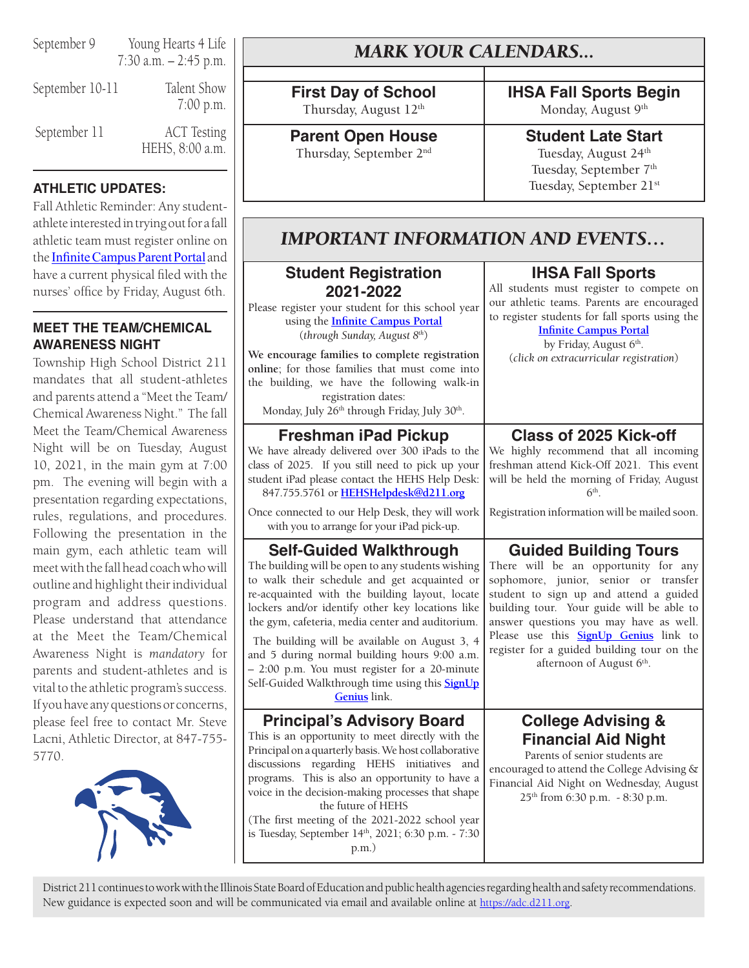September 9 Young Hearts 4 Life 7:30 a.m. – 2:45 p.m.

September 10-11 Talent Show 7:00 p.m. September 11 ACT Testing HEHS, 8:00 a.m.

## **ATHLETIC UPDATES:**

Fall Athletic Reminder: Any studentathlete interested in trying out for a fall athletic team must register online on the **[Infinite Campus Parent Portal](https://campus.d211.org/campus/portal/township.jsp)** and have a current physical filed with the nurses' office by Friday, August 6th.

## **MEET THE TEAM/CHEMICAL AWARENESS NIGHT**

Township High School District 211 mandates that all student-athletes and parents attend a "Meet the Team/ Chemical Awareness Night." The fall Meet the Team/Chemical Awareness Night will be on Tuesday, August 10, 2021, in the main gym at 7:00 pm. The evening will begin with a presentation regarding expectations, rules, regulations, and procedures. Following the presentation in the main gym, each athletic team will meet with the fall head coach who will outline and highlight their individual program and address questions. Please understand that attendance at the Meet the Team/Chemical Awareness Night is *mandatory* for parents and student-athletes and is vital to the athletic program's success. If you have any questions or concerns, please feel free to contact Mr. Steve Lacni, Athletic Director, at 847-755- 5770.



# *MARK YOUR CALENDARS...*

**First Day of School** Thursday, August 12<sup>th</sup>

**Parent Open House** Thursday, September 2nd

**IHSA Fall Sports Begin**

Monday, August 9<sup>th</sup>

## **Student Late Start**

Tuesday, August 24<sup>th</sup> Tuesday, September 7<sup>th</sup> Tuesday, September 21<sup>st</sup>

# *IMPORTANT INFORMATION AND EVENTS…*

## **Student Registration 2021-2022**

Please register your student for this school year using the **[Infinite Campus Portal](https://campus.d211.org/campus/portal/township.jsp)** (*through Sunday, August 8th*)

**We encourage families to complete registration online**; for those families that must come into the building, we have the following walk-in registration dates:

Monday, July 26<sup>th</sup> through Friday, July 30<sup>th</sup>.

## **Freshman iPad Pickup**

We have already delivered over 300 iPads to the class of 2025. If you still need to pick up your student iPad please contact the HEHS Help Desk: 847.755.5761 or **[HEHSHelpdesk@d211.org](mailto:HEHSHelpdesk%40d211.org?subject=)** Once connected to our Help Desk, they will work with you to arrange for your iPad pick-up.

## **Self-Guided Walkthrough**

The building will be open to any students wishing to walk their schedule and get acquainted or re-acquainted with the building layout, locate lockers and/or identify other key locations like the gym, cafeteria, media center and auditorium.

 The building will be available on August 3, 4 and 5 during normal building hours 9:00 a.m. – 2:00 p.m. You must register for a 20-minute Self-Guided Walkthrough time using this **[SignUp](https://www.signupgenius.com/go/10c0848aaac2fa0ff2-selfguided?subject=) [Genius](https://www.signupgenius.com/go/10c0848aaac2fa0ff2-selfguided?subject=)** link.

## **Principal's Advisory Board**

This is an opportunity to meet directly with the Principal on a quarterly basis. We host collaborative discussions regarding HEHS initiatives and programs. This is also an opportunity to have a voice in the decision-making processes that shape the future of HEHS

(The first meeting of the 2021-2022 school year is Tuesday, September 14th, 2021; 6:30 p.m. - 7:30 p.m.)

District 211 continues to work with the Illinois State Board of Education and public health agencies regarding health and safety recommendations. New guidance is expected soon and will be communicated via email and available online at [https://adc.d211.org.](https://adc.d211.org)

## **IHSA Fall Sports**

All students must register to compete on our athletic teams. Parents are encouraged to register students for fall sports using the

## **[Infinite Campus Portal](https://campus.d211.org/campus/portal/township.jsp)**

by Friday, August 6<sup>th</sup>. (*click on extracurricular registration*)

## **Class of 2025 Kick-off**

We highly recommend that all incoming freshman attend Kick-Off 2021. This event will be held the morning of Friday, August  $6<sup>th</sup>$ . Registration information will be mailed soon. **Guided Building Tours** There will be an opportunity for any sophomore, junior, senior or transfer student to sign up and attend a guided building tour. Your guide will be able to answer questions you may have as well.

Please use this **[SignUp Genius](https://www.signupgenius.com/go/508084ca9ae23abfc1-class1)** link to register for a guided building tour on the afternoon of August 6<sup>th</sup>.

## **College Advising & Financial Aid Night**

Parents of senior students are encouraged to attend the College Advising & Financial Aid Night on Wednesday, August 25th from 6:30 p.m. - 8:30 p.m.